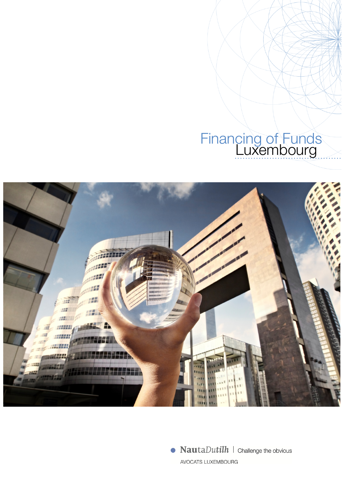### Financing of Funds Luxembourg



 $\bullet$  **Nauta** *Dutilh*  $\mid$  *Challenge the obvious* AVOCATS LUXEMBOURG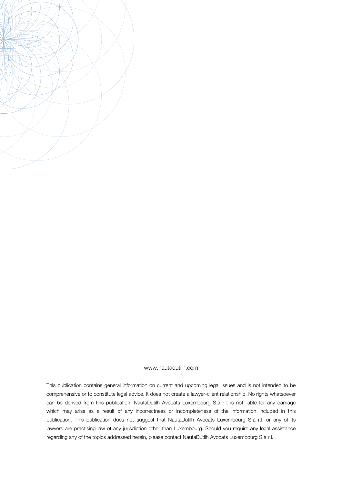

#### www.nautadutilh.com

This publication contains general information on current and upcoming legal issues and is not intended to be comprehensive or to constitute legal advice. It does not create a lawyer-client relationship. No rights whatsoever can be derived from this publication. NautaDutilh Avocats Luxembourg S.à r.l. is not liable for any damage which may arise as a result of any incorrectness or incompleteness of the information included in this publication. This publication does not suggest that NautaDutilh Avocats Luxembourg S.à r.l. or any of its lawyers are practising law of any jurisdiction other than Luxembourg. Should you require any legal assistance regarding any of the topics addressed herein, please contact NautaDutilh Avocats Luxembourg S.à r.l.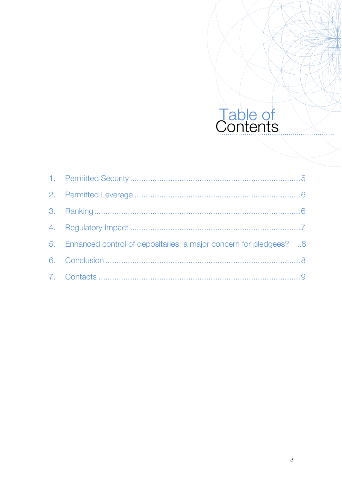## Table of<br>Contents

| 5. Enhanced control of depositaries: a major concern for pledgees? 8 |  |
|----------------------------------------------------------------------|--|
|                                                                      |  |
|                                                                      |  |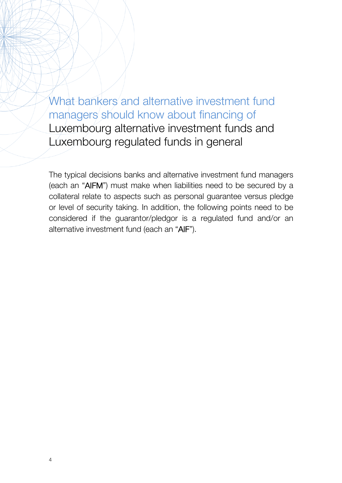What bankers and alternative investment fund managers should know about financing of Luxembourg alternative investment funds and Luxembourg regulated funds in general

The typical decisions banks and alternative investment fund managers (each an "AIFM") must make when liabilities need to be secured by a collateral relate to aspects such as personal guarantee versus pledge or level of security taking. In addition, the following points need to be considered if the guarantor/pledgor is a regulated fund and/or an alternative investment fund (each an "AIF").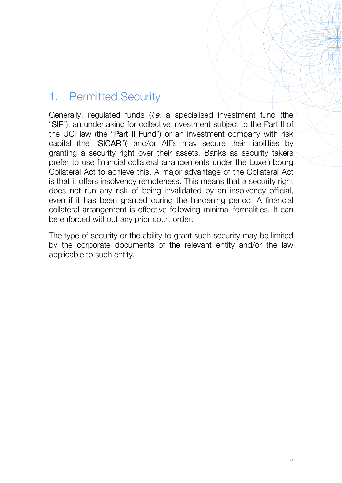#### 1. Permitted Security

Generally, regulated funds (*i.e.* a specialised investment fund (the "SIF"), an undertaking for collective investment subject to the Part II of the UCI law (the "**Part II Fund**") or an investment company with risk capital (the "SICAR")) and/or AIFs may secure their liabilities by granting a security right over their assets. Banks as security takers prefer to use financial collateral arrangements under the Luxembourg Collateral Act to achieve this. A major advantage of the Collateral Act is that it offers insolvency remoteness. This means that a security right does not run any risk of being invalidated by an insolvency official, even if it has been granted during the hardening period. A financial collateral arrangement is effective following minimal formalities. It can be enforced without any prior court order.

The type of security or the ability to grant such security may be limited by the corporate documents of the relevant entity and/or the law applicable to such entity.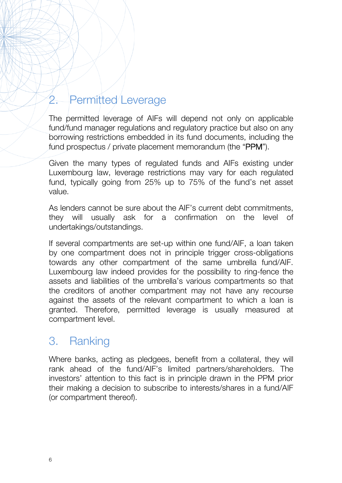#### 2. Permitted Leverage

The permitted leverage of AIFs will depend not only on applicable fund/fund manager regulations and regulatory practice but also on any borrowing restrictions embedded in its fund documents, including the fund prospectus / private placement memorandum (the "PPM").

Given the many types of regulated funds and AIFs existing under Luxembourg law, leverage restrictions may vary for each regulated fund, typically going from 25% up to 75% of the fund's net asset value.

As lenders cannot be sure about the AIF's current debt commitments, they will usually ask for a confirmation on the level of undertakings/outstandings.

If several compartments are set-up within one fund/AIF, a loan taken by one compartment does not in principle trigger cross-obligations towards any other compartment of the same umbrella fund/AIF. Luxembourg law indeed provides for the possibility to ring-fence the assets and liabilities of the umbrella's various compartments so that the creditors of another compartment may not have any recourse against the assets of the relevant compartment to which a loan is granted. Therefore, permitted leverage is usually measured at compartment level.

#### 3. Ranking

Where banks, acting as pledgees, benefit from a collateral, they will rank ahead of the fund/AIF's limited partners/shareholders. The investors' attention to this fact is in principle drawn in the PPM prior their making a decision to subscribe to interests/shares in a fund/AIF (or compartment thereof).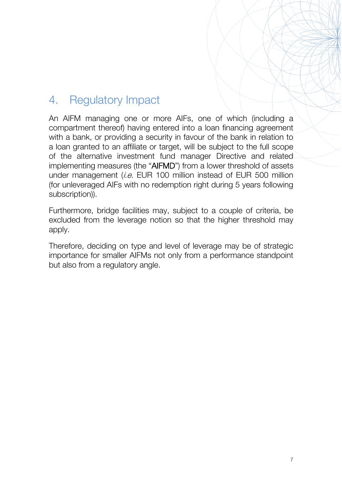#### 4. Regulatory Impact

An AIFM managing one or more AIFs, one of which (including a compartment thereof) having entered into a loan financing agreement with a bank, or providing a security in favour of the bank in relation to a loan granted to an affiliate or target, will be subject to the full scope of the alternative investment fund manager Directive and related implementing measures (the "AIFMD") from a lower threshold of assets under management (i.e. EUR 100 million instead of EUR 500 million (for unleveraged AIFs with no redemption right during 5 years following subscription)).

Furthermore, bridge facilities may, subject to a couple of criteria, be excluded from the leverage notion so that the higher threshold may apply.

Therefore, deciding on type and level of leverage may be of strategic importance for smaller AIFMs not only from a performance standpoint but also from a regulatory angle.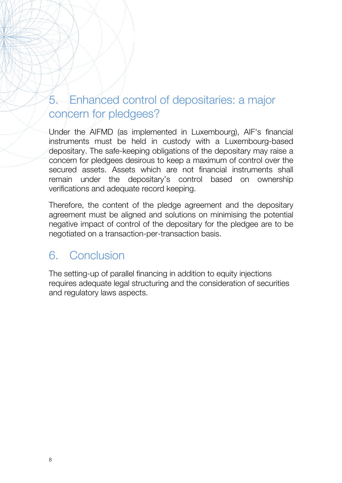#### 5. Enhanced control of depositaries: a major concern for pledgees?

Under the AIFMD (as implemented in Luxembourg), AIF's financial instruments must be held in custody with a Luxembourg-based depositary. The safe-keeping obligations of the depositary may raise a concern for pledgees desirous to keep a maximum of control over the secured assets. Assets which are not financial instruments shall remain under the depositary's control based on ownership verifications and adequate record keeping.

Therefore, the content of the pledge agreement and the depositary agreement must be aligned and solutions on minimising the potential negative impact of control of the depositary for the pledgee are to be negotiated on a transaction-per-transaction basis.

#### 6. Conclusion

The setting-up of parallel financing in addition to equity injections requires adequate legal structuring and the consideration of securities and regulatory laws aspects.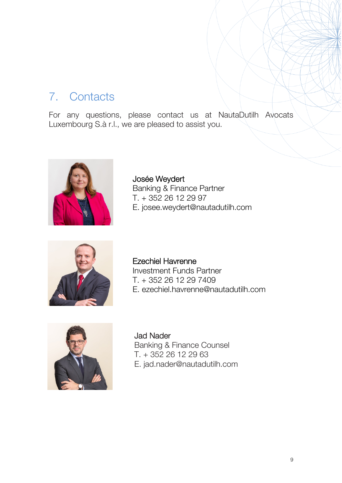#### 7. Contacts

For any questions, please contact us at NautaDutilh Avocats Luxembourg S.à r.l., we are pleased to assist you.



Josée Weydert Banking & Finance Partner T. + 352 26 12 29 97 E. josee.weydert@nautadutilh.com



Ezechiel Havrenne Investment Funds Partner T. + 352 26 12 29 7409 E. ezechiel.havrenne@nautadutilh.com



Jad Nader Banking & Finance Counsel T. + 352 26 12 29 63 E. jad.nader@nautadutilh.com